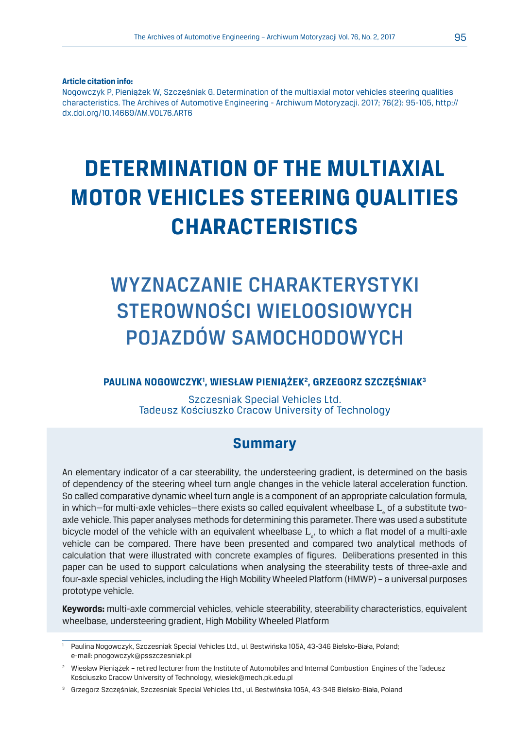**Article citation info:**

Nogowczyk P, Pieniążek W, Szczęśniak G. Determination of the multiaxial motor vehicles steering qualities characteristics. The Archives of Automotive Engineering - Archiwum Motoryzacji. 2017; 76(2): 95-105, http:// dx.doi.org/10.14669/AM.VOL76.ART6

# **DETERMINATION OF THE MULTIAXIAL MOTOR VEHICLES STEERING QUALITIES CHARACTERISTICS**

# WYZNACZANIE CHARAKTERYSTYKI STEROWNOŚCI WIELOOSIOWYCH POJAZDÓW SAMOCHODOWYCH

#### **PAULINA NOGOWCZYK1 , WIESŁAW PIENIĄŻEK2 , GRZEGORZ SZCZĘŚNIAK3**

Szczesniak Special Vehicles Ltd. Tadeusz Kościuszko Cracow University of Technology

# **Summary**

An elementary indicator of a car steerability, the understeering gradient, is determined on the basis of dependency of the steering wheel turn angle changes in the vehicle lateral acceleration function. So called comparative dynamic wheel turn angle is a component of an appropriate calculation formula, in which—for multi-axle vehicles—there exists so called equivalent wheelbase  $\boldsymbol{\mathrm{L}}_{\varepsilon}$  of a substitute twoaxle vehicle. This paper analyses methods for determining this parameter. There was used a substitute bicycle model of the vehicle with an equivalent wheelbase  $\text{L}_{_{\text{e}}}$ , to which a flat model of a multi-axle vehicle can be compared. There have been presented and compared two analytical methods of calculation that were illustrated with concrete examples of figures. Deliberations presented in this paper can be used to support calculations when analysing the steerability tests of three-axle and four-axle special vehicles, including the High Mobility Wheeled Platform (HMWP) – a universal purposes prototype vehicle.

**Keywords:** multi-axle commercial vehicles, vehicle steerability, steerability characteristics, equivalent wheelbase, understeering gradient, High Mobility Wheeled Platform

<sup>1</sup> Paulina Nogowczyk, Szczesniak Special Vehicles Ltd., ul. Bestwińska 105A, 43-346 Bielsko-Biała, Poland; e-mail: pnogowczyk@psszczesniak.pl

<sup>2</sup> Wiesław Pieniążek – retired lecturer from the Institute of Automobiles and Internal Combustion Engines of the Tadeusz Kościuszko Cracow University of Technology, wiesiek@mech.pk.edu.pl

<sup>3</sup> Grzegorz Szczęśniak, Szczesniak Special Vehicles Ltd., ul. Bestwińska 105A, 43-346 Bielsko-Biała, Poland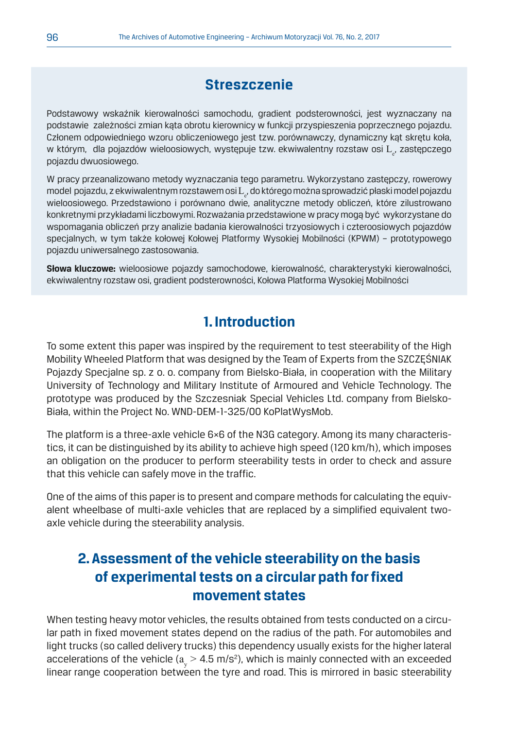# **Streszczenie**

Podstawowy wskaźnik kierowalności samochodu, gradient podsterowności, jest wyznaczany na podstawie zależności zmian kąta obrotu kierownicy w funkcji przyspieszenia poprzecznego pojazdu. Członem odpowiedniego wzoru obliczeniowego jest tzw. porównawczy, dynamiczny kąt skrętu koła, w którym, dla pojazdów wieloosiowych, występuje tzw. ekwiwalentny rozstaw osi  $\text{L}_{_{\text{c}}}$ , zastępczego pojazdu dwuosiowego.

W pracy przeanalizowano metody wyznaczania tego parametru. Wykorzystano zastępczy, rowerowy model pojazdu, z ekwiwalentnym rozstawem osi  $\text{L}_{\scriptscriptstyle\rm c}$ , do którego można sprowadzić płaski model pojazdu wieloosiowego. Przedstawiono i porównano dwie, analityczne metody obliczeń, które zilustrowano konkretnymi przykładami liczbowymi. Rozważania przedstawione w pracy mogą być wykorzystane do wspomagania obliczeń przy analizie badania kierowalności trzyosiowych i czteroosiowych pojazdów specjalnych, w tym także kołowej Kołowej Platformy Wysokiej Mobilności (KPWM) – prototypowego pojazdu uniwersalnego zastosowania.

**Słowa kluczowe:** wieloosiowe pojazdy samochodowe, kierowalność, charakterystyki kierowalności, ekwiwalentny rozstaw osi, gradient podsterowności, Kołowa Platforma Wysokiej Mobilności

## **1. Introduction**

To some extent this paper was inspired by the requirement to test steerability of the High Mobility Wheeled Platform that was designed by the Team of Experts from the SZCZĘŚNIAK Pojazdy Specjalne sp. z o. o. company from Bielsko-Biała, in cooperation with the Military University of Technology and Military Institute of Armoured and Vehicle Technology. The prototype was produced by the Szczesniak Special Vehicles Ltd. company from Bielsko-Biała, within the Project No. WND-DEM-1-325/00 KoPlatWysMob.

The platform is a three-axle vehicle 6×6 of the N3G category. Among its many characteristics, it can be distinguished by its ability to achieve high speed (120 km/h), which imposes an obligation on the producer to perform steerability tests in order to check and assure that this vehicle can safely move in the traffic.

One of the aims of this paper is to present and compare methods for calculating the equivalent wheelbase of multi-axle vehicles that are replaced by a simplified equivalent twoaxle vehicle during the steerability analysis.

# **2. Assessment of the vehicle steerability on the basis of experimental tests on a circular path for fixed movement states**

When testing heavy motor vehicles, the results obtained from tests conducted on a circular path in fixed movement states depend on the radius of the path. For automobiles and light trucks (so called delivery trucks) this dependency usually exists for the higher lateral accelerations of the vehicle ( $a_{\rm y}$   $>$  4.5 m/s²), which is mainly connected with an exceeded linear range cooperation between the tyre and road. This is mirrored in basic steerability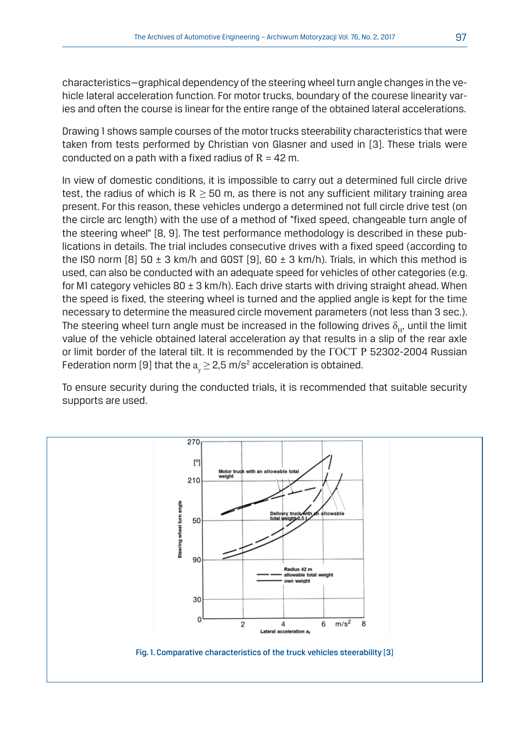characteristics—graphical dependency of the steering wheel turn angle changes in the vehicle lateral acceleration function. For motor trucks, boundary of the courese linearity varies and often the course is linear for the entire range of the obtained lateral accelerations.

Drawing 1 shows sample courses of the motor trucks steerability characteristics that were taken from tests performed by Christian von Glasner and used in [3]. These trials were conducted on a path with a fixed radius of  $R = 42$  m.

In view of domestic conditions, it is impossible to carry out a determined full circle drive test, the radius of which is  $R \ge 50$  m, as there is not any sufficient military training area present. For this reason, these vehicles undergo a determined not full circle drive test (on the circle arc length) with the use of a method of "fixed speed, changeable turn angle of the steering wheel" [8, 9]. The test performance methodology is described in these publications in details. The trial includes consecutive drives with a fixed speed (according to the ISO norm [8] 50  $\pm$  3 km/h and GOST [9], 60  $\pm$  3 km/h). Trials, in which this method is used, can also be conducted with an adequate speed for vehicles of other categories (e.g. for M1 category vehicles  $80 \pm 3$  km/h). Each drive starts with driving straight ahead. When the speed is fixed, the steering wheel is turned and the applied angle is kept for the time necessary to determine the measured circle movement parameters (not less than 3 sec.). The steering wheel turn angle must be increased in the following drives  $\delta_{\rm uv}$  until the limit value of the vehicle obtained lateral acceleration ay that results in a slip of the rear axle or limit border of the lateral tilt. It is recommended by the ГОСТ Р 52302-2004 Russian Federation norm [9] that the  $\rm a_{_{y}}\,{\geq}\,2.5$  m/s $\rm ^{2}$  acceleration is obtained.

To ensure security during the conducted trials, it is recommended that suitable security supports are used.

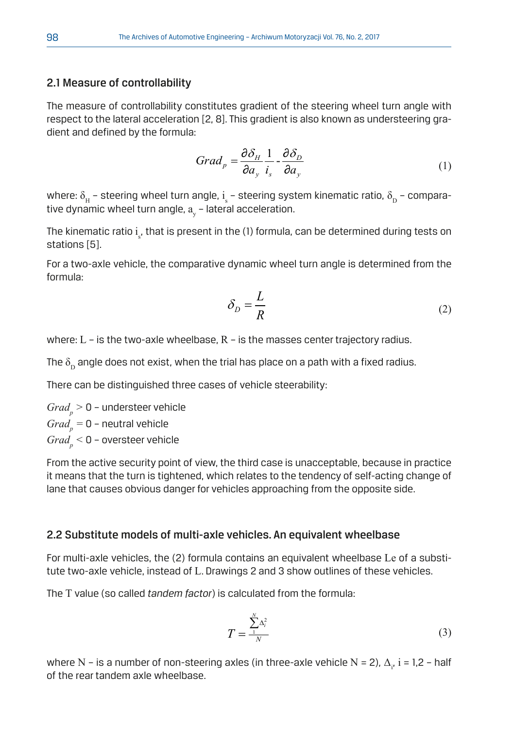#### 2.1 Measure of controllability

The measure of controllability constitutes gradient of the steering wheel turn angle with respect to the lateral acceleration [2, 8]. This gradient is also known as understeering gradient and defined by the formula:

$$
Grad_p = \frac{\partial \delta_H}{\partial a_y} \frac{1}{i_s} - \frac{\partial \delta_D}{\partial a_y} \tag{1}
$$

where:  $\delta_{\rm H}$  – steering wheel turn angle, i<sub>s</sub> – steering sys<sup>.</sup><br>tive dynamic wheel turn angle, a<sub>y</sub> – lateral acceleration. where:  $\delta^{}_{\rm H}$  – steering wheel turn angle,  ${\rm i}^{}_{\rm s}$  – steering system kinematic ratio,  $\delta^{}_{\rm D}$  – compara-

The kinematic ratio  $\mathrm{i}_{\mathrm{s}'}$ , that is present in the (1) formula, can be determined during tests on stations [5].

For a two-axle vehicle, the comparative dynamic wheel turn angle is determined from the *D H <sup>p</sup> a i a Grad* formula: eı -<br>wł lic mamic wheel⊳<br>≀

$$
\delta_D = \frac{L}{R} \tag{2}
$$

where:  $\tt L$  – is the two-axle wheelbase,  $\tt R$  – is the masses center trajectory radius.

The  $\delta^{}_{\rm D}$  angle does not exist, when the trial has place on a path with a fixed radius.

There can be distinguished three cases of vehicle steerability:

 $Grad_p > 0$  – understeer vehicle  $Grad_p = 0$  – neutral vehicle  $Grad_{_{p}} <$  0 – oversteer vehicle

From the active security point of view, the third case is unacceptable, because in practice it means that the turn is tightened, which relates to the tendency of self-acting change of lane that causes obvious danger for vehicles approaching from the opposite side.

#### 2.2 Substitute models of multi-axle vehicles. An equivalent wheelbase

For multi-axle vehicles, the (2) formula contains an equivalent wheelbase Le of a substitute two-axle vehicle, instead of L. Drawings 2 and 3 show outlines of these vehicles.

The T value (so called *tandem factor*) is calculated from the formula:

$$
T = \frac{\sum_{i=1}^{N} \Delta_i^2}{N} \tag{3}
$$

les (in three-axle  $\mathbf{I}$ where N – is a number of non-steering axles (in three-axle vehicle N = 2),  $\Delta_{i'}$  i = 1,2 – half *<sup>e</sup> <sup>2</sup> C* of the rear tandem axle wheelbase.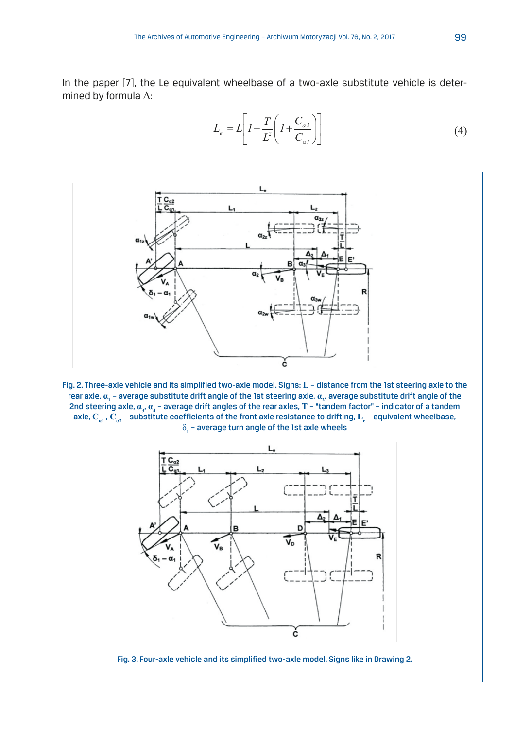In the paper [7], the Le equivalent wheelbase of a two-axle substitute vehicle is deter-2 *N* mined by formula Δ:

$$
L_e = L \left[ I + \frac{T}{L^2} \left( I + \frac{C_{az}}{C_{al}} \right) \right]
$$
 (4)

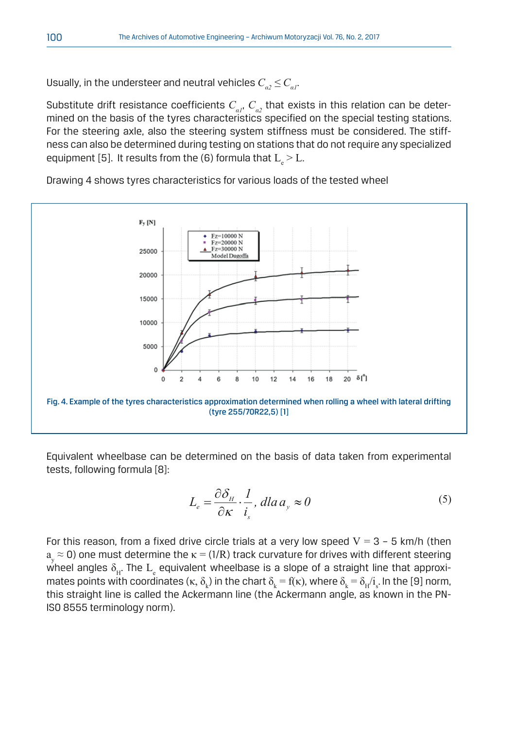Usually, in the understeer and neutral vehicles  $C_{a2} \leq C_{a1}$ .

Substitute drift resistance coefficients  $C_{\alpha}$ ,  $C_{\alpha}$ , that exists in this relation can be determined on the basis of the tyres characteristics specified on the special testing stations. For the steering axle, also the steering system stiffness must be considered. The stiffness can also be determined during testing on stations that do not require any specialized equipment [5]. It results from the (6) formula that  $\text{L}_{_{\text{e}}}$  >  $\text{L}_{\cdot}$ 

Drawing 4 shows tyres characteristics for various loads of the tested wheel



Equivalent wheelbase can be determined on the basis of data taken from experimental tests, following formula [8]:  $\overline{\phantom{a}}$ termined on the basi

$$
L_e = \frac{\partial \delta_H}{\partial \kappa} \cdot \frac{1}{i_s}, \, dla \, a_y \approx 0 \tag{5}
$$

 $a_{\rm y}$   $\approx$  0) one must determine the  $\kappa$  = (1/R) track curvature for drives with different steering For this reason, from a fixed drive circle trials at a very low speed  $V = 3 - 5$  km/h (then wheel angles  $\delta_{_{\mathrm{H}}}$ . The  $\mathrm{L}_{_{\mathrm{e}}}$  equivalent wheelbase is a slope of a straight line that approximates points with coordinates (κ,  $\delta_k$ ) in the chart  $\delta_k = f(\kappa)$ , where  $\delta_k = \delta_H/i_s$ . In the [9] norm, this straight line is called the Ackermann line (the Ackermann angle, as known in the PN-ISO 8555 terminology norm).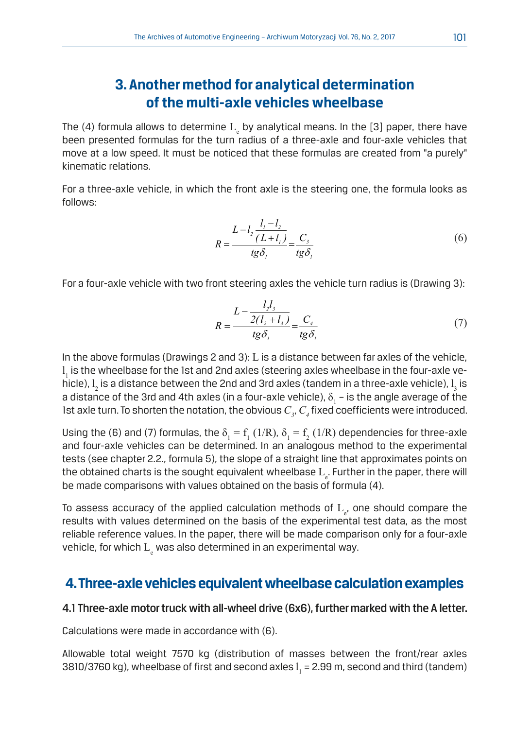# **3. Another method for analytical determination of the multi-axle vehicles wheelbase**

The (4) formula allows to determine  $\text{L}_{\text{e}}$  by analytical means. In the [3] paper, there have been presented formulas for the turn radius of a three-axle and four-axle vehicles that move at a low speed. It must be noticed that these formulas are created from "a purely" kinematic relations.

For a three-axle vehicle, in which the front axle is the steering one, the formula looks as follows:

$$
R = \frac{L - l_2 \frac{l_1 - l_2}{(L + l_1)}}{tg\delta_i} = \frac{C_3}{tg\delta_i}
$$
(6)

For a four-axle vehicle with two front steering axles the vehicle turn radius is (Drawing 3):<br> $L = \frac{I_z I_s}{I_z}$ 

$$
R = \frac{L - \frac{l_2 l_3}{2(l_2 + l_3)}}{t g \delta_i} = \frac{C_i}{t g \delta_i}
$$
(7)

1st axle turn. To shorten the notation, the obvious  $C_{\jmath}$ ,  $C_{\jmath}$  fixed coefficients were introduced. In the above formulas (Drawings 2 and 3): L is a distance between far axles of the vehicle,  ${\bf l}_{_1}$  is the wheelbase for the 1st and 2nd axles (steering axles wheelbase in the four-axle vehicle),  $l_2$  is a distance between the 2nd and 3rd axles (tandem in a three-axle vehicle),  $l_3$  is  $2$  and  $2$  and all  $3$  distance between the 2nd and 9nd axles (tandem in a time axie vehicle),  $\frac{1}{3}$  to a distance of the 3rd and 4th axles (in a four-axle vehicle),  $\delta_1$  – is the angle average of the

Using the (6) and (7) formulas, the  $\delta_1 = f_1(1/R)$ ,  $\delta_1 = f_2(1/R)$  dependencies for three-axle and four-axle vehicles can be determined. In an analogous method to the experimental tests (see chapter 2.2., formula 5), the slope of a straight line that approximates points on the obtained charts is the sought equivalent wheelbase  $\mathrm{L}_{\mathrm{e}}.$  Further in the paper, there will be made comparisons with values obtained on the basis of formula (4).

To assess accuracy of the applied calculation methods of  $\text{L}_{_{\text{e}}}$ , one should compare the results with values determined on the basis of the experimental test data, as the most reliable reference values. In the paper, there will be made comparison only for a four-axle vehicle, for which  $\mathrm{L}_{\mathrm{e}}$  was also determined in an experimental way.

## **4. Three-axle vehicles equivalent wheelbase calculation examples**

#### 4.1 Three-axle motor truck with all-wheel drive (6x6), further marked with the A letter.

Calculations were made in accordance with (6).

Allowable total weight 7570 kg (distribution of masses between the front/rear axles 3810/3760 kg), wheelbase of first and second axles  $\mathbf{l}_{_{1}}$  = 2.99 m, second and third (tandem)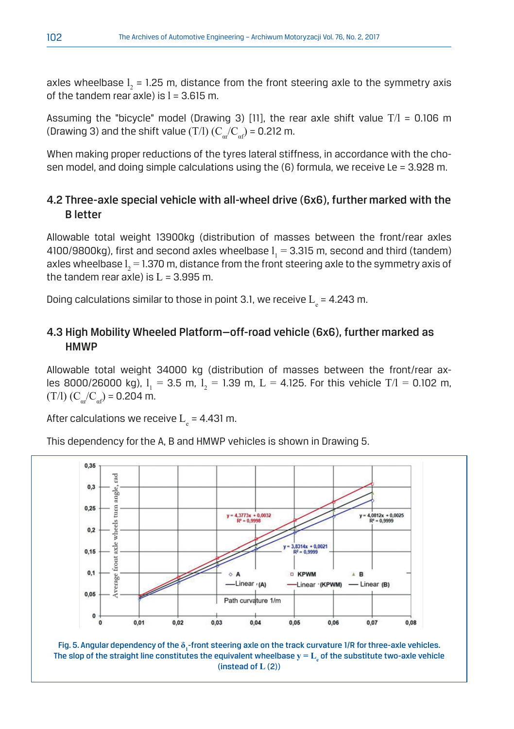axles wheelbase  $l_2$  = 1.25 m, distance from the front steering axle to the symmetry axis of the tandem rear axle) is  $l = 3.615$  m.

Assuming the "bicycle" model (Drawing 3) [11], the rear axle shift value  $T/l = 0.106$  m (Drawing 3) and the shift value (T/l)  $(C_{a}/C_{a})$  = 0.212 m.

When making proper reductions of the tyres lateral stiffness, in accordance with the chosen model, and doing simple calculations using the  $(6)$  formula, we receive Le = 3.928 m.

### 4.2 Three-axle special vehicle with all-wheel drive (6x6), further marked with the B letter

Allowable total weight 13900kg (distribution of masses between the front/rear axles 4100/9800kg), first and second axles wheelbase  $l_{1}$  = 3.315 m, second and third (tandem) axles wheelbase  $\mathbf{l}_2$  = 1.370 m, distance from the front steering axle to the symmetry axis of the tandem rear axle) is  $L = 3.995$  m.

Doing calculations similar to those in point 3.1, we receive  $\rm L_{e}$  = 4.243 m.

### 4.3 High Mobility Wheeled Platform—off-road vehicle (6x6), further marked as **HMWP**

Allowable total weight 34000 kg (distribution of masses between the front/rear axles 8000/26000 kg),  $l_1 = 3.5$  m,  $l_2 = 1.39$  m,  $L = 4.125$ . For this vehicle T/I = 0.102 m,  $(T/I)$   $(C_{at}/C_{at})$  = 0.204 m.

After calculations we receive  $L<sub>a</sub> = 4.431$  m.

This dependency for the A, B and HMWP vehicles is shown in Drawing 5.



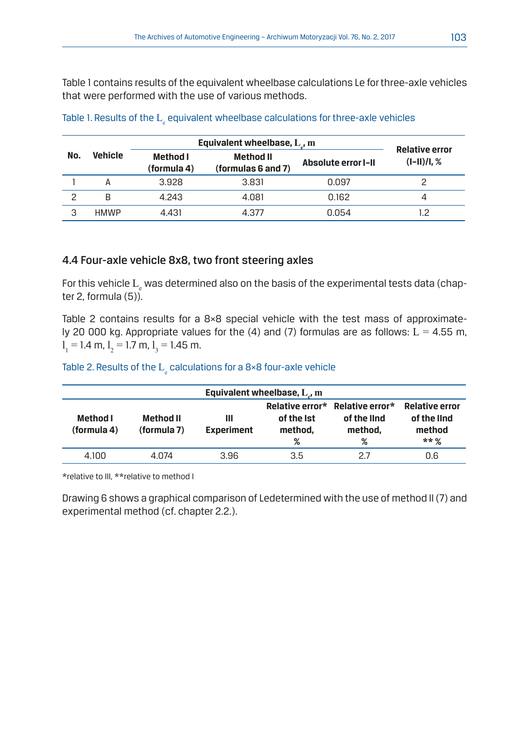Table 1 contains results of the equivalent wheelbase calculations Le for three-axle vehicles that were performed with the use of various methods.

|               | <b>Vehicle</b> | Equivalent wheelbase, $L$ , m | Relative error                  |                     |               |
|---------------|----------------|-------------------------------|---------------------------------|---------------------|---------------|
| No.           |                | Method I<br>(formula 4)       | Method II<br>(formulas 6 and 7) | Absolute error I-II | $(I-II)/I, %$ |
|               | А              | 3.928                         | 3.831                           | 0.097               |               |
| $\mathcal{P}$ | B              | 4.243                         | 4.081                           | 0.162               |               |
| 3             | <b>HMWP</b>    | 4.431                         | 4.377                           | 0.054               | 1.2           |

## Table 1. Results of the  $\mathrm{L}_{\mathrm{e}}$  equivalent wheelbase calculations for three-axle vehicles

#### 4.4 Four-axle vehicle 8x8, two front steering axles

For this vehicle  $\mathrm{L}_{\mathrm{e}}$  was determined also on the basis of the experimental tests data (chapter 2, formula (5)).

Table 2 contains results for a 8×8 special vehicle with the test mass of approximately 20 000 kg. Appropriate values for the (4) and (7) formulas are as follows:  $L = 4.55$  m,  $l_1 = 1.4$  m,  $l_2 = 1.7$  m,  $l_3 = 1.45$  m.

## Table 2. Results of the  $\mathrm{L}_{\mathrm{e}}$  calculations for a 8×8 four-axle vehicle

| Equivalent wheelbase, $L_{J}$ m |                          |                        |                            |                                                                |                                                           |  |  |  |  |
|---------------------------------|--------------------------|------------------------|----------------------------|----------------------------------------------------------------|-----------------------------------------------------------|--|--|--|--|
| Method I<br>(formula 4)         | Method II<br>(formula 7) | Ш<br><b>Experiment</b> | of the Ist<br>method,<br>℅ | Relative error* Relative error*<br>of the lind<br>method.<br>℅ | <b>Relative error</b><br>of the lind<br>method<br>$***$ % |  |  |  |  |
| 4.100                           | 4.074                    | 3.96                   | 3.5                        | 27                                                             | 0.6                                                       |  |  |  |  |

\*relative to III, \*\*relative to method I

Drawing 6 shows a graphical comparison of Ledetermined with the use of method II (7) and experimental method (cf. chapter 2.2.).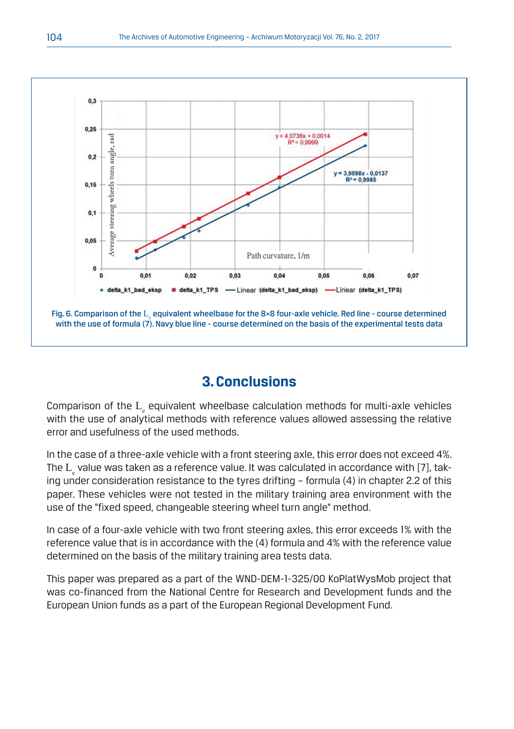

# **3. Conclusions**

Comparison of the  $\text{L}_{\text{\tiny g}}$  equivalent wheelbase calculation methods for multi-axle vehicles with the use of analytical methods with reference values allowed assessing the relative error and usefulness of the used methods.

In the case of a three-axle vehicle with a front steering axle, this error does not exceed 4%. The  $\text{L}_{\text{e}}$  value was taken as a reference value. It was calculated in accordance with [7], taking under consideration resistance to the tyres drifting – formula (4) in chapter 2.2 of this paper. These vehicles were not tested in the military training area environment with the use of the "fixed speed, changeable steering wheel turn angle" method.

In case of a four-axle vehicle with two front steering axles, this error exceeds 1% with the reference value that is in accordance with the (4) formula and 4% with the reference value determined on the basis of the military training area tests data.

This paper was prepared as a part of the WND-DEM-1-325/00 KoPlatWysMob project that was co-financed from the National Centre for Research and Development funds and the European Union funds as a part of the European Regional Development Fund.